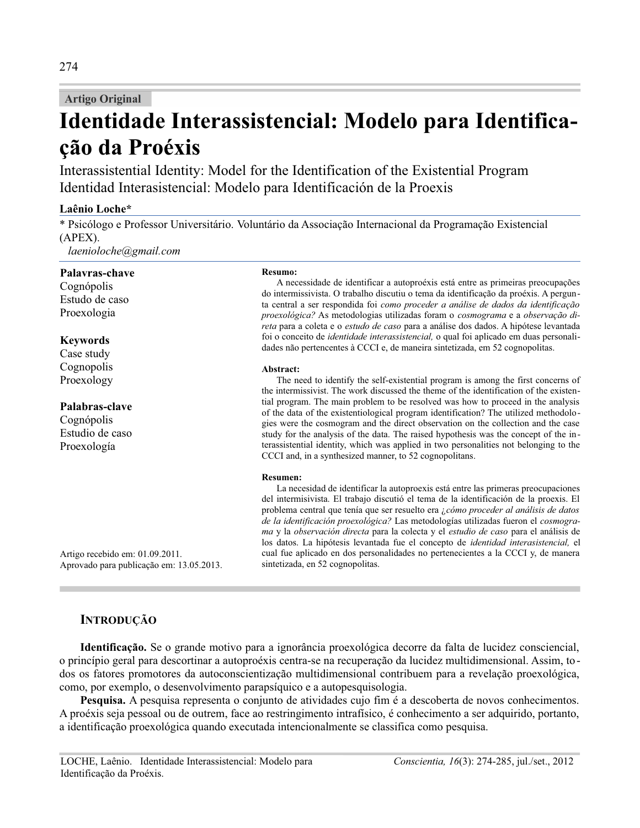# **Artigo Original**

# Identidade Interassistencial: Modelo para Identificação da Proéxis

Interassistential Identity: Model for the Identification of the Existential Program Identidad Interasistencial: Modelo para Identificación de la Proexis

#### Laênio Loche\*

\* Psicólogo e Professor Universitário. Voluntário da Associação Internacional da Programação Existencial  $(APEX)$ .

laenioloche@gmail.com

| Palavras-chave                           | Resumo:                                                                                                                                                                                                                                                                                                                                                                                                                                                                                                                                                |
|------------------------------------------|--------------------------------------------------------------------------------------------------------------------------------------------------------------------------------------------------------------------------------------------------------------------------------------------------------------------------------------------------------------------------------------------------------------------------------------------------------------------------------------------------------------------------------------------------------|
| Cognópolis                               | A necessidade de identificar a autoproéxis está entre as primeiras preocupações                                                                                                                                                                                                                                                                                                                                                                                                                                                                        |
| Estudo de caso                           | do intermissivista. O trabalho discutiu o tema da identificação da proéxis. A pergun-<br>ta central a ser respondida foi como proceder a análise de dados da identificação                                                                                                                                                                                                                                                                                                                                                                             |
| Proexologia                              | proexológica? As metodologias utilizadas foram o cosmograma e a observação di-<br>reta para a coleta e o estudo de caso para a análise dos dados. A hipótese levantada                                                                                                                                                                                                                                                                                                                                                                                 |
| <b>Keywords</b>                          | foi o conceito de identidade interassistencial, o qual foi aplicado em duas personali-                                                                                                                                                                                                                                                                                                                                                                                                                                                                 |
| Case study                               | dades não pertencentes à CCCI e, de maneira sintetizada, em 52 cognopolitas.                                                                                                                                                                                                                                                                                                                                                                                                                                                                           |
| Cognopolis                               | Abstract:                                                                                                                                                                                                                                                                                                                                                                                                                                                                                                                                              |
| Proexology                               | The need to identify the self-existential program is among the first concerns of<br>the intermissivist. The work discussed the theme of the identification of the existen-                                                                                                                                                                                                                                                                                                                                                                             |
| Palabras-clave                           | tial program. The main problem to be resolved was how to proceed in the analysis                                                                                                                                                                                                                                                                                                                                                                                                                                                                       |
| Cognópolis                               | of the data of the existentiological program identification? The utilized methodolo-                                                                                                                                                                                                                                                                                                                                                                                                                                                                   |
| Estudio de caso                          | gies were the cosmogram and the direct observation on the collection and the case<br>study for the analysis of the data. The raised hypothesis was the concept of the in-                                                                                                                                                                                                                                                                                                                                                                              |
| Proexología                              | terassistential identity, which was applied in two personalities not belonging to the                                                                                                                                                                                                                                                                                                                                                                                                                                                                  |
|                                          | CCCI and, in a synthesized manner, to 52 cognopolitans.                                                                                                                                                                                                                                                                                                                                                                                                                                                                                                |
|                                          | <b>Resumen:</b>                                                                                                                                                                                                                                                                                                                                                                                                                                                                                                                                        |
|                                          | La necesidad de identificar la autoproexis está entre las primeras preocupaciones<br>del intermisivista. El trabajo discutió el tema de la identificación de la proexis. El<br>problema central que tenía que ser resuelto era <i>¿cómo proceder al análisis de datos</i><br>de la identificación proexológica? Las metodologías utilizadas fueron el cosmogra-<br>ma y la observación directa para la colecta y el estudio de caso para el análisis de<br>los datos. La hipótesis levantada fue el concepto de <i>identidad interasistencial</i> , el |
| Artigo recebido em: 01.09.2011.          | cual fue aplicado en dos personalidades no pertenecientes a la CCCI y, de manera<br>sintetizada, en 52 cognopolitas.                                                                                                                                                                                                                                                                                                                                                                                                                                   |
| Aprovado para publicação em: 13.05.2013. |                                                                                                                                                                                                                                                                                                                                                                                                                                                                                                                                                        |

# **INTRODUÇÃO**

Identificação. Se o grande motivo para a ignorância proexológica decorre da falta de lucidez consciencial, o princípio geral para descortinar a autoproéxis centra-se na recuperação da lucidez multidimensional. Assim, todos os fatores promotores da autoconscientização multidimensional contribuem para a revelação proexológica, como, por exemplo, o desenvolvimento parapsíquico e a autopesquisologia.

Pesquisa. A pesquisa representa o conjunto de atividades cujo fim é a descoberta de novos conhecimentos. A proéxis seja pessoal ou de outrem, face ao restringimento intrafísico, é conhecimento a ser adquirido, portanto, a identificação proexológica quando executada intencionalmente se classifica como pesquisa.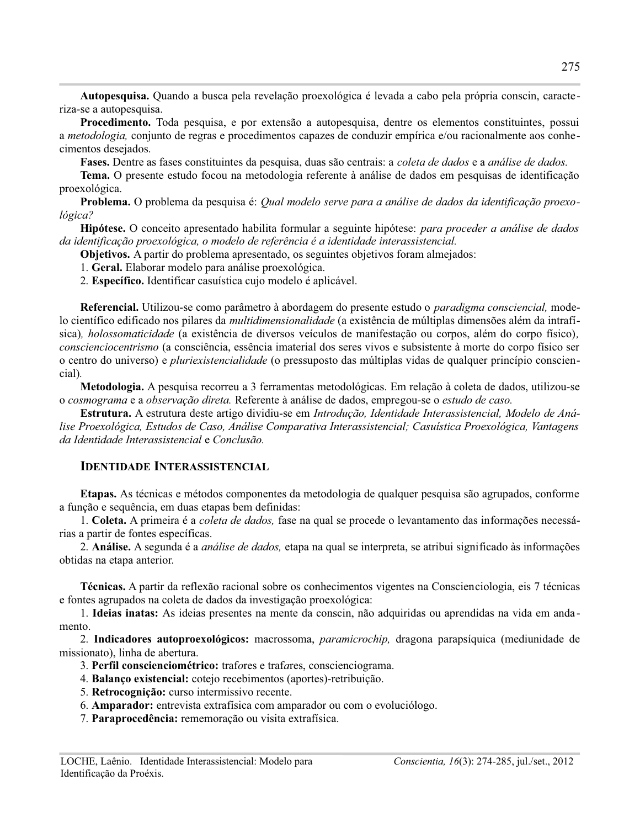Autopesquisa. Quando a busca pela revelação proexológica é levada a cabo pela própria conscin, caracteriza-se a autopesquisa.

**Procedimento.** Toda pesquisa, e por extensão a autopesquisa, dentre os elementos constituintes, possui a *metodologia*, conjunto de regras e procedimentos capazes de conduzir empírica e/ou racionalmente aos conhecimentos desejados.

Fases. Dentre as fases constituintes da pesquisa, duas são centrais: a *coleta de dados* e a *análise de dados*.

**Tema.** O presente estudo focou na metodologia referente à análise de dados em pesquisas de identificação proexológica.

Problema. O problema da pesquisa é: Qual modelo serve para a análise de dados da identificação proexológica?

**Hipótese.** O conceito apresentado habilita formular a seguinte hipótese: *para proceder a análise de dados* da identificação proexológica, o modelo de referência é a identidade interassistencial.

**Objetivos.** A partir do problema apresentado, os seguintes objetivos foram almejados:

1. Geral. Elaborar modelo para análise proexológica.

2. Específico. Identificar casuística cujo modelo é aplicável.

Referencial. Utilizou-se como parâmetro à abordagem do presente estudo o *paradigma consciencial*, modelo científico edificado nos pilares da *multidimensionalidade* (a existência de múltiplas dimensões além da intrafísica), holossomaticidade (a existência de diversos veículos de manifestação ou corpos, além do corpo físico), conscienciocentrismo (a consciência, essência imaterial dos seres vivos e subsistente à morte do corpo físico ser o centro do universo) e *pluriexistencialidade* (o pressuposto das múltiplas vidas de qualquer princípio consciencial).

Metodologia. A pesquisa recorreu a 3 ferramentas metodológicas. Em relação à coleta de dados, utilizou-se o cosmograma e a observação direta. Referente à análise de dados, empregou-se o estudo de caso.

Estrutura. A estrutura deste artigo dividiu-se em Introdução, Identidade Interassistencial, Modelo de Análise Proexológica, Estudos de Caso, Análise Comparativa Interassistencial; Casuística Proexológica, Vantagens da Identidade Interassistencial e Conclusão.

### **IDENTIDADE INTERASSISTENCIAL**

Etapas. As técnicas e métodos componentes da metodologia de qualquer pesquisa são agrupados, conforme a função e sequência, em duas etapas bem definidas:

1. Coleta. A primeira é a *coleta de dados*, fase na qual se procede o levantamento das informações necessárias a partir de fontes específicas.

2. Análise. A segunda é a *análise de dados*, etapa na qual se interpreta, se atribui significado às informações obtidas na etapa anterior.

Técnicas. A partir da reflexão racional sobre os conhecimentos vigentes na Conscienciologia, eis 7 técnicas e fontes agrupados na coleta de dados da investigação proexológica:

1. Ideias inatas: As ideias presentes na mente da conscin, não adquiridas ou aprendidas na vida em andamento.

2. Indicadores autoproexológicos: macrossoma, *paramicrochip*, dragona parapsíquica (mediunidade de missionato), linha de abertura.

- 3. Perfil conscienciométrico: trafores e trafares, conscienciograma.
- 4. Balanço existencial: cotejo recebimentos (aportes)-retribuição.
- 5. Retrocognição: curso intermissivo recente.
- 6. Amparador: entrevista extrafísica com amparador ou com o evoluciólogo.
- 7. Paraprocedência: rememoração ou visita extrafísica.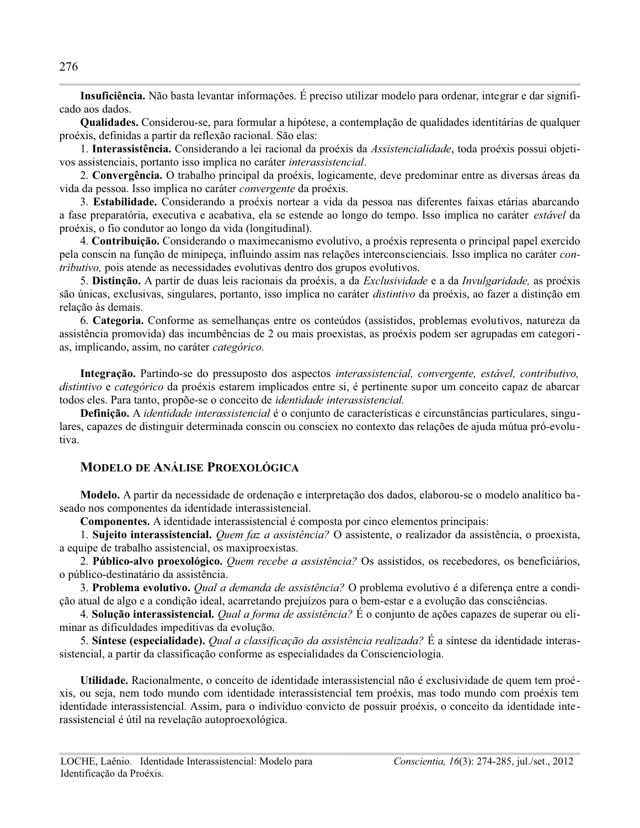Insuficiência. Não basta levantar informações. É preciso utilizar modelo para ordenar, integrar e dar significado aos dados.

**Qualidades.** Considerou-se, para formular a hipótese, a contemplação de qualidades identitárias de qualquer proéxis, definidas a partir da reflexão racional. São elas:

1. Interassistência. Considerando a lei racional da proéxis da Assistencialidade, toda proéxis possui objetivos assistenciais, portanto isso implica no caráter *interassistencial*.

2. Convergência. O trabalho principal da proéxis, logicamente, deve predominar entre as diversas áreas da vida da pessoa. Isso implica no caráter *convergente* da proéxis.

3. Estabilidade. Considerando a proéxis nortear a vida da pessoa nas diferentes faixas etárias abarcando a fase preparatória, executiva e acabativa, ela se estende ao longo do tempo. Isso implica no caráter *estável* da proéxis, o fio condutor ao longo da vida (longitudinal).

4. Contribuição. Considerando o maximecanismo evolutivo, a proéxis representa o principal papel exercido pela conscin na função de minipeca, influindo assim nas relações interconscienciais. Isso implica no caráter con*tributivo*, pois atende as necessidades evolutivas dentro dos grupos evolutivos.

5. Distinção. A partir de duas leis racionais da proéxis, a da *Exclusividade* e a da *Invulgaridade*, as proéxis são únicas, exclusivas, singulares, portanto, isso implica no caráter *distintivo* da proéxis, ao fazer a distinção em relação às demais.

6. Categoria. Conforme as semelhanças entre os conteúdos (assistidos, problemas evolutivos, natureza da assistência promovida) das incumbências de 2 ou mais proexistas, as proéxis podem ser agrupadas em categorias, implicando, assim, no caráter *categórico*.

Integração. Partindo-se do pressuposto dos aspectos interassistencial, convergente, estável, contributivo, distintivo e categórico da proéxis estarem implicados entre si, é pertinente supor um conceito capaz de abarcar todos eles. Para tanto, propõe-se o conceito de *identidade interassistencial*.

Definição. A *identidade interassistencial* é o conjunto de características e circunstâncias particulares, singulares, capazes de distinguir determinada conscin ou consciex no contexto das relações de ajuda mútua pró-evolutiva.

### **MODELO DE ANÁLISE PROEXOLÓGICA**

Modelo. A partir da necessidade de ordenação e interpretação dos dados, elaborou-se o modelo analítico baseado nos componentes da identidade interassistencial.

Componentes. A identidade interassistencial é composta por cinco elementos principais:

1. Sujeito interassistencial. *Quem faz a assistência*? O assistente, o realizador da assistência, o proexista, a equipe de trabalho assistencial, os maxiproexistas.

2. Público-alvo proexológico. *Quem recebe a assistência*? Os assistidos, os recebedores, os beneficiários, o público-destinatário da assistência.

3. Problema evolutivo. *Qual a demanda de assistência*? O problema evolutivo é a diferença entre a condição atual de algo e a condição ideal, acarretando prejuízos para o bem-estar e a evolução das consciências.

4. Solução interassistencial. *Qual a forma de assistência*? É o conjunto de ações capazes de superar ou eliminar as dificuldades impeditivas da evolução.

5. Síntese (especialidade). *Qual a classificação da assistência realizada*? É a síntese da identidade interassistencial, a partir da classificação conforme as especialidades da Conscienciologia.

Utilidade. Racionalmente, o conceito de identidade interassistencial não é exclusividade de quem tem proéxis, ou seja, nem todo mundo com identidade interassistencial tem proéxis, mas todo mundo com proéxis tem identidade interassistencial. Assim, para o indivíduo convicto de possuir proéxis, o conceito da identidade interassistencial é útil na revelação autoproexológica.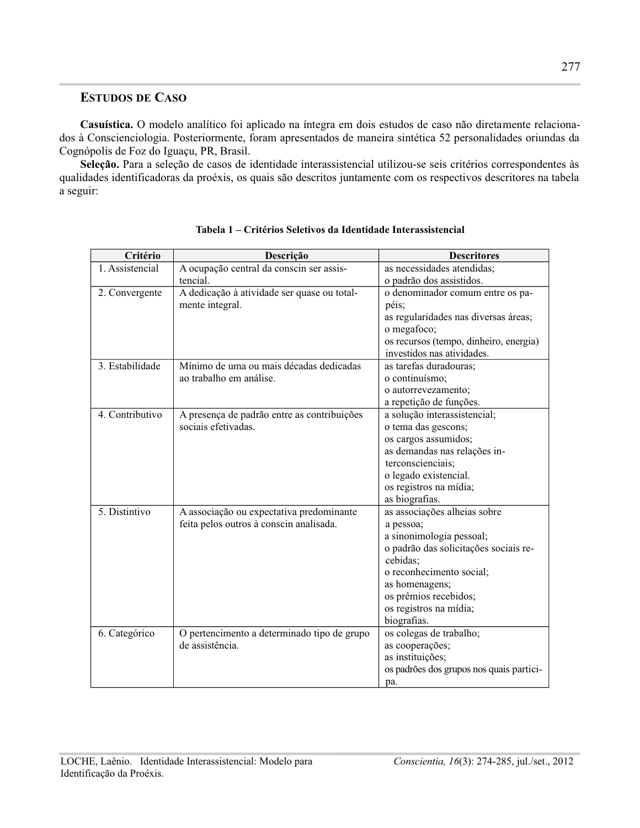# **ESTUDOS DE CASO**

Casuística. O modelo analítico foi aplicado na íntegra em dois estudos de caso não diretamente relacionados à Conscienciologia. Posteriormente, foram apresentados de maneira sintética 52 personalidades oriundas da Cognópolis de Foz do Iguaçu, PR, Brasil.

Seleção. Para a seleção de casos de identidade interassistencial utilizou-se seis critérios correspondentes às qualidades identificadoras da proéxis, os quais são descritos juntamente com os respectivos descritores na tabela a seguir:

| Critério        | Descrição                                   | <b>Descritores</b>                       |
|-----------------|---------------------------------------------|------------------------------------------|
| 1. Assistencial | A ocupação central da conscin ser assis-    | as necessidades atendidas;               |
|                 | tencial.                                    | o padrão dos assistidos.                 |
| 2. Convergente  | A dedicação à atividade ser quase ou total- | o denominador comum entre os pa-         |
|                 | mente integral.                             | péis;                                    |
|                 |                                             | as regularidades nas diversas áreas;     |
|                 |                                             | o megafoco;                              |
|                 |                                             | os recursos (tempo, dinheiro, energia)   |
|                 |                                             | investidos nas atividades.               |
| 3. Estabilidade | Mínimo de uma ou mais décadas dedicadas     | as tarefas duradouras;                   |
|                 | ao trabalho em análise.                     | o continuísmo;                           |
|                 |                                             | o autorrevezamento;                      |
|                 |                                             | a repetição de funções.                  |
| 4. Contributivo | A presença de padrão entre as contribuições | a solução interassistencial;             |
|                 | sociais efetivadas.                         | o tema das gescons;                      |
|                 |                                             | os cargos assumidos;                     |
|                 |                                             | as demandas nas relações in-             |
|                 |                                             | terconscienciais;                        |
|                 |                                             | o legado existencial.                    |
|                 |                                             | os registros na mídia;                   |
|                 |                                             | as biografias.                           |
| 5. Distintivo   | A associação ou expectativa predominante    | as associações alheias sobre             |
|                 | feita pelos outros à conscin analisada.     | a pessoa;                                |
|                 |                                             | a sinonimologia pessoal;                 |
|                 |                                             | o padrão das solicitações sociais re-    |
|                 |                                             | cebidas;                                 |
|                 |                                             | o reconhecimento social;                 |
|                 |                                             | as homenagens;                           |
|                 |                                             | os prêmios recebidos;                    |
|                 |                                             | os registros na mídia;                   |
|                 |                                             | biografias.                              |
| 6. Categórico   | O pertencimento a determinado tipo de grupo | os colegas de trabalho;                  |
|                 | de assistência.                             | as cooperações;                          |
|                 |                                             | as instituições;                         |
|                 |                                             | os padrões dos grupos nos quais partici- |
|                 |                                             | pa.                                      |

|  |  |  | Tabela 1 – Critérios Seletivos da Identidade Interassistencial |
|--|--|--|----------------------------------------------------------------|
|  |  |  |                                                                |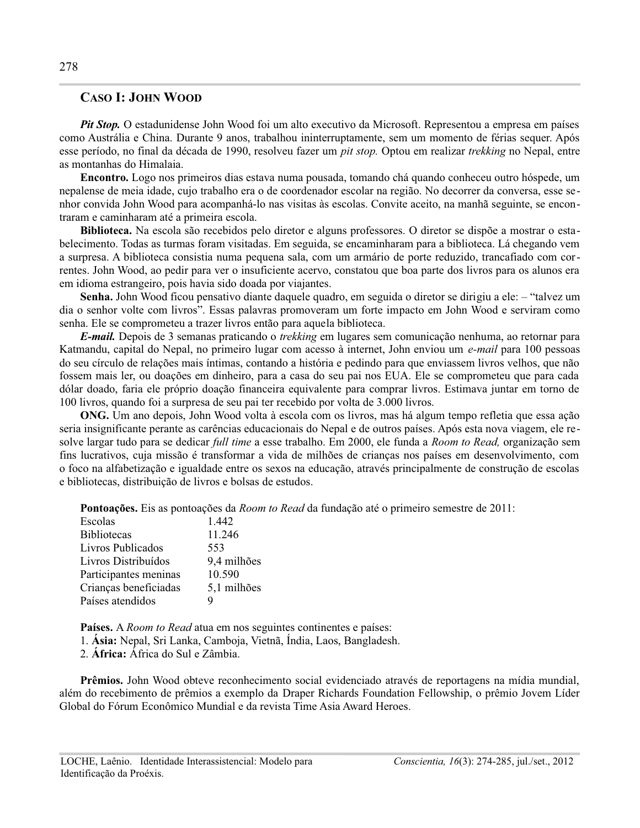#### **CASO I: JOHN WOOD**

Pit Stop. O estadunidense John Wood foi um alto executivo da Microsoft. Representou a empresa em países como Austrália e China. Durante 9 anos, trabalhou ininterruptamente, sem um momento de férias sequer. Após esse período, no final da década de 1990, resolveu fazer um *pit stop*. Optou em realizar *trekking* no Nepal, entre as montanhas do Himalaia.

**Encontro.** Logo nos primeiros dias estava numa pousada, tomando chá quando conheceu outro hóspede, um nepalense de meia idade, cujo trabalho era o de coordenador escolar na região. No decorrer da conversa, esse senhor convida John Wood para acompanhá-lo nas visitas às escolas. Convite aceito, na manhã seguinte, se encontraram e caminharam até a primeira escola.

Biblioteca. Na escola são recebidos pelo diretor e alguns professores. O diretor se dispõe a mostrar o estabelecimento. Todas as turmas foram visitadas. Em seguida, se encaminharam para a biblioteca. Lá chegando vem a surpresa. A biblioteca consistia numa pequena sala, com um armário de porte reduzido, trancafiado com correntes. John Wood, ao pedir para ver o insuficiente acervo, constatou que boa parte dos livros para os alunos era em idioma estrangeiro, pois havia sido doada por viajantes.

Senha. John Wood ficou pensativo diante daquele quadro, em seguida o diretor se dirigiu a ele: – "talvez um dia o senhor volte com livros". Essas palavras promoveram um forte impacto em John Wood e serviram como senha. Ele se comprometeu a trazer livros então para aquela biblioteca.

**E-mail.** Depois de 3 semanas praticando o *trekking* em lugares sem comunicação nenhuma, ao retornar para Katmandu, capital do Nepal, no primeiro lugar com acesso à internet, John enviou um e-mail para 100 pessoas do seu círculo de relações mais íntimas, contando a história e pedindo para que enviassem livros velhos, que não fossem mais ler, ou doações em dinheiro, para a casa do seu pai nos EUA. Ele se comprometeu que para cada dólar doado, faria ele próprio doação financeira equivalente para comprar livros. Estimava juntar em torno de 100 livros, quando foi a surpresa de seu pai ter recebido por volta de 3.000 livros.

ONG. Um ano depois, John Wood volta à escola com os livros, mas há algum tempo refletia que essa ação seria insignificante perante as carências educacionais do Nepal e de outros países. Após esta nova viagem, ele resolve largar tudo para se dedicar *full time* a esse trabalho. Em 2000, ele funda a *Room to Read*, organização sem fins lucrativos, cuja missão é transformar a vida de milhões de criancas nos países em desenvolvimento, com o foco na alfabetização e igualdade entre os sexos na educação, através principalmente de construção de escolas e bibliotecas, distribuição de livros e bolsas de estudos.

Pontoações. Eis as pontoações da *Room to Read* da fundação até o primeiro semestre de 2011:

| Escolas               | 1.442       |
|-----------------------|-------------|
| Bibliotecas           | 11.246      |
| Livros Publicados     | 553         |
| Livros Distribuídos   | 9,4 milhões |
| Participantes meninas | 10.590      |
| Crianças beneficiadas | 5,1 milhões |
| Países atendidos      | 9           |

Países. A *Room to Read* atua em nos seguintes continentes e países:

1. Ásia: Nepal, Sri Lanka, Camboja, Vietnã, Índia, Laos, Bangladesh.

2. África: África do Sul e Zâmbia.

Prêmios. John Wood obteve reconhecimento social evidenciado através de reportagens na mídia mundial, além do recebimento de prêmios a exemplo da Draper Richards Foundation Fellowship, o prêmio Jovem Líder Global do Fórum Econômico Mundial e da revista Time Asia Award Heroes.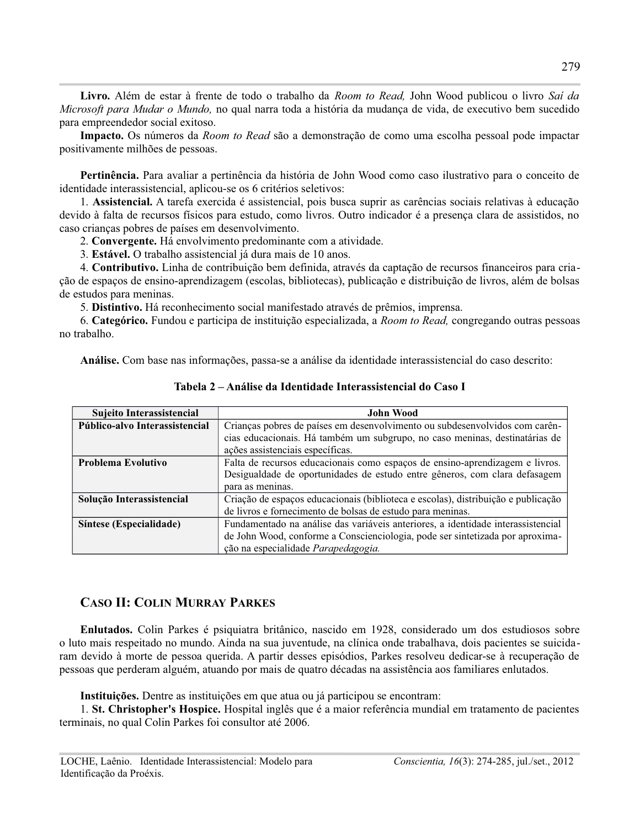Livro. Além de estar à frente de todo o trabalho da *Room to Read*, John Wood publicou o livro Sai da Microsoft para Mudar o Mundo, no qual narra toda a história da mudança de vida, de executivo bem sucedido para empreendedor social exitoso.

Impacto. Os números da *Room to Read* são a demonstração de como uma escolha pessoal pode impactar positivamente milhões de pessoas.

Pertinência. Para avaliar a pertinência da história de John Wood como caso ilustrativo para o conceito de identidade interassistencial, aplicou-se os 6 critérios seletivos:

1. Assistencial. A tarefa exercida é assistencial, pois busca suprir as carências sociais relativas à educação devido à falta de recursos físicos para estudo, como livros. Outro indicador é a presença clara de assistidos, no caso crianças pobres de países em desenvolvimento.

2. Convergente. Há envolvimento predominante com a atividade.

3. Estável. O trabalho assistencial já dura mais de 10 anos.

4. Contributivo. Linha de contribuição bem definida, através da captação de recursos financeiros para criação de espaços de ensino-aprendizagem (escolas, bibliotecas), publicação e distribuição de livros, além de bolsas de estudos para meninas.

5. Distintivo. Há reconhecimento social manifestado através de prêmios, imprensa.

6. Categórico. Fundou e participa de instituição especializada, a Room to Read, congregando outras pessoas no trabalho.

Análise. Com base nas informações, passa-se a análise da identidade interassistencial do caso descrito:

| Sujeito Interassistencial      | <b>John Wood</b>                                                                                                                                                                                         |
|--------------------------------|----------------------------------------------------------------------------------------------------------------------------------------------------------------------------------------------------------|
| Público-alvo Interassistencial | Crianças pobres de países em desenvolvimento ou subdesenvolvidos com carên-<br>cias educacionais. Há também um subgrupo, no caso meninas, destinatárias de<br>ações assistenciais específicas.           |
| Problema Evolutivo             | Falta de recursos educacionais como espaços de ensino-aprendizagem e livros.<br>Desigualdade de oportunidades de estudo entre gêneros, com clara defasagem<br>para as meninas.                           |
| Solução Interassistencial      | Criação de espaços educacionais (biblioteca e escolas), distribuição e publicação<br>de livros e fornecimento de bolsas de estudo para meninas.                                                          |
| Síntese (Especialidade)        | Fundamentado na análise das variáveis anteriores, a identidade interassistencial<br>de John Wood, conforme a Conscienciologia, pode ser sintetizada por aproxima-<br>ção na especialidade Parapedagogia. |

#### Tabela 2 – Análise da Identidade Interassistencial do Caso I

## **CASO II: COLIN MURRAY PARKES**

Enlutados. Colin Parkes é psiquiatra britânico, nascido em 1928, considerado um dos estudiosos sobre o luto mais respeitado no mundo. Ainda na sua juventude, na clínica onde trabalhava, dois pacientes se suicidaram devido à morte de pessoa querida. A partir desses episódios, Parkes resolveu dedicar-se à recuperação de pessoas que perderam alguém, atuando por mais de quatro décadas na assistência aos familiares enlutados.

Instituições. Dentre as instituições em que atua ou já participou se encontram:

1. St. Christopher's Hospice. Hospital inglês que é a maior referência mundial em tratamento de pacientes terminais, no qual Colin Parkes foi consultor até 2006.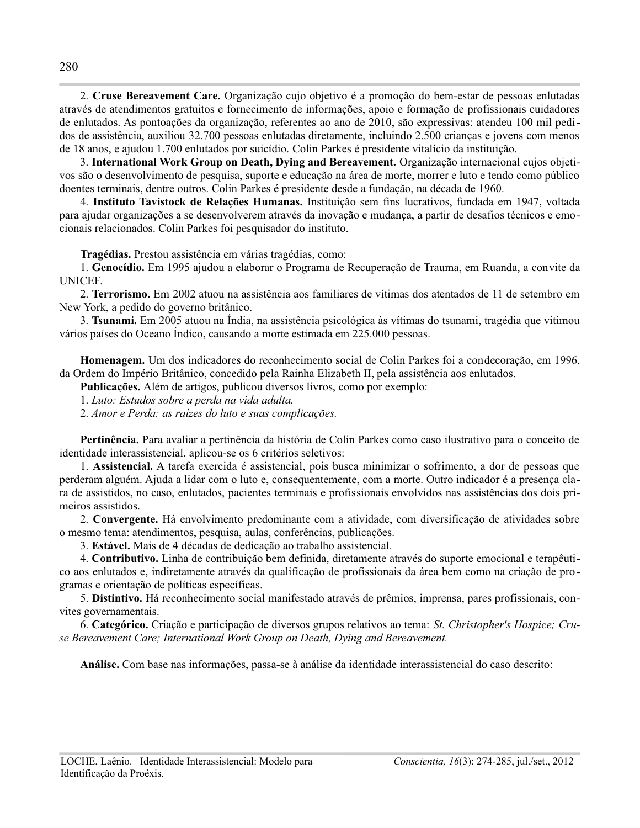2. Cruse Bereavement Care. Organização cujo objetivo é a promoção do bem-estar de pessoas enlutadas através de atendimentos gratuitos e fornecimento de informações, apoio e formação de profissionais cuidadores de enlutados. As pontoações da organização, referentes ao ano de 2010, são expressivas: atendeu 100 mil pedidos de assistência, auxiliou 32.700 pessoas enlutadas diretamente, incluindo 2.500 crianças e jovens com menos de 18 anos, e ajudou 1.700 enlutados por suicídio. Colin Parkes é presidente vitalício da instituição.

3. International Work Group on Death, Dying and Bereavement, Organização internacional cujos objetivos são o desenvolvimento de pesquisa, suporte e educação na área de morte, morrer e luto e tendo como público doentes terminais, dentre outros. Colin Parkes é presidente desde a fundação, na década de 1960.

4. Instituto Tavistock de Relações Humanas. Instituição sem fins lucrativos, fundada em 1947, voltada para ajudar organizações a se desenvolverem através da inovação e mudança, a partir de desafios técnicos e emocionais relacionados. Colin Parkes foi pesquisador do instituto.

Tragédias. Prestou assistência em várias tragédias, como:

1. Genocídio. Em 1995 ajudou a elaborar o Programa de Recuperação de Trauma, em Ruanda, a convite da UNICEF.

2. Terrorismo. Em 2002 atuou na assistência aos familiares de vítimas dos atentados de 11 de setembro em New York, a pedido do governo britânico.

3. **Tsunami.** Em 2005 atuou na Índia, na assistência psicológica às vítimas do tsunami, tragédia que vitimou vários países do Oceano Índico, causando a morte estimada em 225.000 pessoas.

Homenagem. Um dos indicadores do reconhecimento social de Colin Parkes foi a condecoração, em 1996, da Ordem do Império Britânico, concedido pela Rainha Elizabeth II, pela assistência aos enlutados.

**Publicações.** Além de artigos, publicou diversos livros, como por exemplo:

1. Luto: Estudos sobre a perda na vida adulta.

2. Amor e Perda: as raízes do luto e suas complicações.

Pertinência. Para avaliar a pertinência da história de Colin Parkes como caso ilustrativo para o conceito de identidade interassistencial, aplicou-se os 6 critérios seletivos:

1. Assistencial. A tarefa exercida é assistencial, pois busca minimizar o sofrimento, a dor de pessoas que perderam alguém. Ajuda a lidar com o luto e, consequentemente, com a morte. Outro indicador é a presença clara de assistidos, no caso, enlutados, pacientes terminais e profissionais envolvidos nas assistências dos dois primeiros assistidos.

2. Convergente. Há envolvimento predominante com a atividade, com diversificação de atividades sobre o mesmo tema: atendimentos, pesquisa, aulas, conferências, publicações.

3. Estável. Mais de 4 décadas de dedicação ao trabalho assistencial.

4. Contributivo. Linha de contribuição bem definida, diretamente através do suporte emocional e terapêutico aos enlutados e, indiretamente através da qualificação de profissionais da área bem como na criação de programas e orientação de políticas específicas.

5. Distintivo. Há reconhecimento social manifestado através de prêmios, imprensa, pares profissionais, convites governamentais.

6. Categórico. Criação e participação de diversos grupos relativos ao tema: St. Christopher's Hospice; Cruse Bereavement Care; International Work Group on Death, Dying and Bereavement.

Análise. Com base nas informações, passa-se à análise da identidade interassistencial do caso descrito: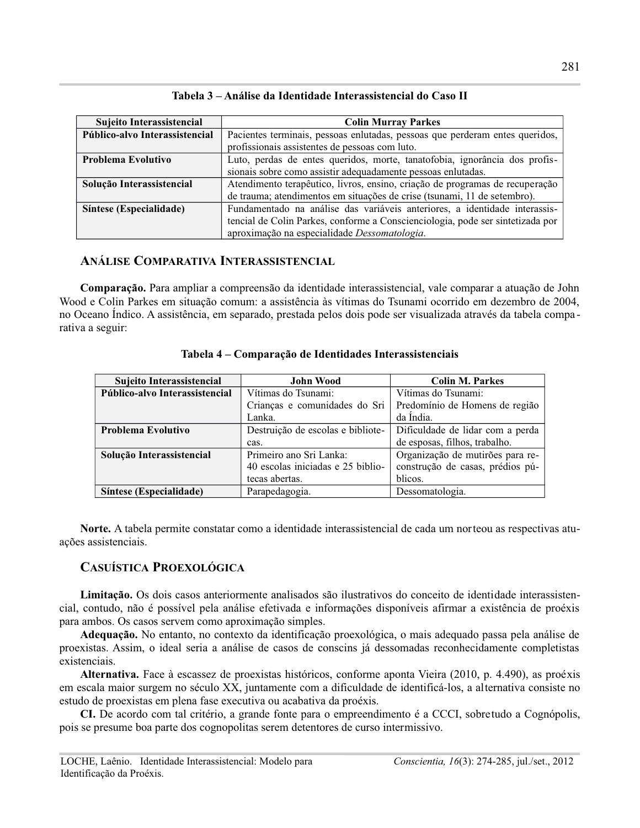| Sujeito Interassistencial      | <b>Colin Murray Parkes</b>                                                     |  |
|--------------------------------|--------------------------------------------------------------------------------|--|
| Público-alvo Interassistencial | Pacientes terminais, pessoas enlutadas, pessoas que perderam entes queridos,   |  |
|                                | profissionais assistentes de pessoas com luto.                                 |  |
| Problema Evolutivo             | Luto, perdas de entes queridos, morte, tanatofobia, ignorância dos profis-     |  |
|                                | sionais sobre como assistir adequadamente pessoas enlutadas.                   |  |
| Solução Interassistencial      | Atendimento terapêutico, livros, ensino, criação de programas de recuperação   |  |
|                                | de trauma; atendimentos em situações de crise (tsunami, 11 de setembro).       |  |
| Síntese (Especialidade)        | Fundamentado na análise das variáveis anteriores, a identidade interassis-     |  |
|                                | tencial de Colin Parkes, conforme a Conscienciologia, pode ser sintetizada por |  |
|                                | aproximação na especialidade Dessomatologia.                                   |  |

### Tabela 3 – Análise da Identidade Interassistencial do Caso II

## ANÁLISE COMPARATIVA INTERASSISTENCIAL

Comparação. Para ampliar a compreensão da identidade interassistencial, vale comparar a atuação de John Wood e Colin Parkes em situação comum: a assistência às vítimas do Tsunami ocorrido em dezembro de 2004, no Oceano Índico. A assistência, em separado, prestada pelos dois pode ser visualizada através da tabela comparativa a seguir:

| Sujeito Interassistencial      | <b>John Wood</b>                  | <b>Colin M. Parkes</b>           |
|--------------------------------|-----------------------------------|----------------------------------|
| Público-alvo Interassistencial | Vítimas do Tsunami:               | Vítimas do Tsunami:              |
|                                | Crianças e comunidades do Sri     | Predomínio de Homens de região   |
|                                | Lanka.                            | da Índia.                        |
| Problema Evolutivo             | Destruição de escolas e bibliote- | Dificuldade de lidar com a perda |
|                                | cas.                              | de esposas, filhos, trabalho.    |
| Solução Interassistencial      | Primeiro ano Sri Lanka:           | Organização de mutirões para re- |
|                                | 40 escolas iniciadas e 25 biblio- | construção de casas, prédios pú- |
|                                | tecas abertas.                    | blicos.                          |
| Síntese (Especialidade)        | Parapedagogia.                    | Dessomatologia.                  |

#### Tabela 4 – Comparação de Identidades Interassistenciais

Norte. A tabela permite constatar como a identidade interassistencial de cada um norteou as respectivas atuações assistenciais.

### **CASUÍSTICA PROEXOLÓGICA**

Limitação. Os dois casos anteriormente analisados são ilustrativos do conceito de identidade interassistencial, contudo, não é possível pela análise efetivada e informações disponíveis afirmar a existência de proéxis para ambos. Os casos servem como aproximação simples.

**Adequação.** No entanto, no contexto da identificação proexológica, o mais adequado passa pela análise de proexistas. Assim, o ideal seria a análise de casos de conscins já dessomadas reconhecidamente completistas existenciais.

Alternativa. Face à escassez de proexistas históricos, conforme aponta Vieira (2010, p. 4.490), as proéxis em escala maior surgem no século XX, juntamente com a dificuldade de identificá-los, a alternativa consiste no estudo de proexistas em plena fase executiva ou acabativa da proéxis.

CI. De acordo com tal critério, a grande fonte para o empreendimento é a CCCI, sobretudo a Cognópolis, pois se presume boa parte dos cognopolitas serem detentores de curso intermissivo.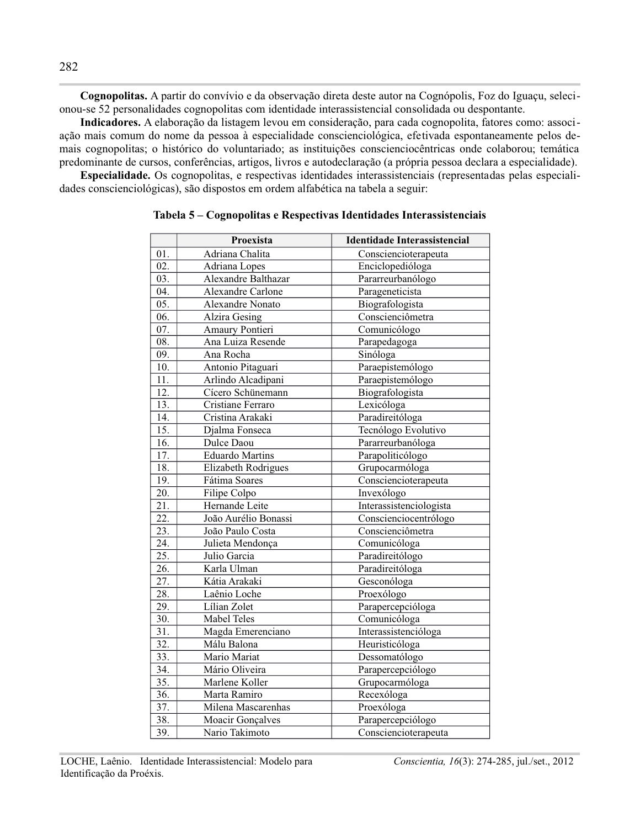Cognopolitas. A partir do convívio e da observação direta deste autor na Cognópolis, Foz do Iguaçu, selecionou-se 52 personalidades cognopolitas com identidade interassistencial consolidada ou despontante.

Indicadores. A elaboração da listagem levou em consideração, para cada cognopolita, fatores como: associação mais comum do nome da pessoa à especialidade conscienciológica, efetivada espontaneamente pelos demais cognopolitas; o histórico do voluntariado; as instituições conscienciocêntricas onde colaborou; temática predominante de cursos, conferências, artigos, livros e autodeclaração (a própria pessoa declara a especialidade).

Especialidade. Os cognopolitas, e respectivas identidades interassistenciais (representadas pelas especialidades conscienciológicas), são dispostos em ordem alfabética na tabela a seguir:

|                   | <b>Proexista</b>         | <b>Identidade Interassistencial</b> |
|-------------------|--------------------------|-------------------------------------|
| 01.               | Adriana Chalita          | Consciencioterapeuta                |
| 02.               | Adriana Lopes            | Enciclopedióloga                    |
| 03.               | Alexandre Balthazar      | Pararreurbanólogo                   |
| 04.               | <b>Alexandre Carlone</b> | Parageneticista                     |
| 05.               | Alexandre Nonato         | Biografologista                     |
| 06.               | Alzira Gesing            | Conscienciômetra                    |
| 07.               | Amaury Pontieri          | Comunicólogo                        |
| 08.               | Ana Luiza Resende        | Parapedagoga                        |
| 09.               | Ana Rocha                | Sinóloga                            |
| 10.               | Antonio Pitaguari        | Paraepistemólogo                    |
| 11.               | Arlindo Alcadipani       | Paraepistemólogo                    |
| 12.               | Cícero Schünemann        | Biografologista                     |
| 13.               | Cristiane Ferraro        | Lexicóloga                          |
| 14.               | Cristina Arakaki         | Paradireitóloga                     |
| 15.               | Djalma Fonseca           | Tecnólogo Evolutivo                 |
| 16.               | Dulce Daou               | Pararreurbanóloga                   |
| 17.               | <b>Eduardo Martins</b>   | Parapoliticólogo                    |
| 18.               | Elizabeth Rodrigues      | Grupocarmóloga                      |
| 19.               | Fátima Soares            | Consciencioterapeuta                |
| 20.               | Filipe Colpo             | Invexólogo                          |
| 21.               | Hernande Leite           | Interassistenciologista             |
| 22.               | João Aurélio Bonassi     | Conscienciocentrólogo               |
| 23.               | João Paulo Costa         | Conscienciômetra                    |
| 24.               | Julieta Mendonça         | Comunicóloga                        |
| $\overline{25}$ . | Julio Garcia             | Paradireitólogo                     |
| $\overline{26}$ . | Karla Ulman              | Paradireitóloga                     |
| 27.               | Kátia Arakaki            | Gesconóloga                         |
| 28.               | Laênio Loche             | Proexólogo                          |
| 29.               | Lílian Zolet             | Parapercepcióloga                   |
| 30.               | <b>Mabel Teles</b>       | Comunicóloga                        |
| 31.               | Magda Emerenciano        | Interassistencióloga                |
| 32.               | Málu Balona              | Heuristicóloga                      |
| 33.               | Mario Mariat             | Dessomatólogo                       |
| 34.               | Mário Oliveira           | Parapercepciólogo                   |
| 35.               | Marlene Koller           | Grupocarmóloga                      |
| 36.               | Marta Ramiro             | Recexóloga                          |
| 37.               | Milena Mascarenhas       | Proexóloga                          |
| 38.               | Moacir Gonçalves         | Parapercepciólogo                   |
| 39.               | Nario Takimoto           | Consciencioterapeuta                |

Tabela 5 – Cognopolitas e Respectivas Identidades Interassistenciais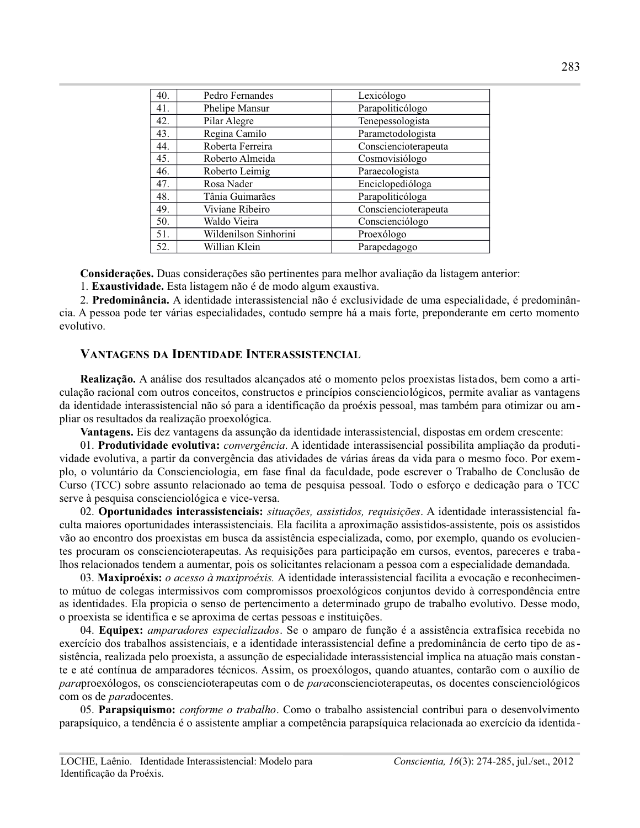| 40. | Pedro Fernandes       | Lexicólogo           |
|-----|-----------------------|----------------------|
| 41. | Phelipe Mansur        | Parapoliticólogo     |
| 42. | Pilar Alegre          | Tenepessologista     |
| 43. | Regina Camilo         | Parametodologista    |
| 44. | Roberta Ferreira      | Consciencioterapeuta |
| 45. | Roberto Almeida       | Cosmovisiólogo       |
| 46. | Roberto Leimig        | Paraecologista       |
| 47. | Rosa Nader            | Enciclopedióloga     |
| 48. | Tânia Guimarães       | Parapoliticóloga     |
| 49. | Viviane Ribeiro       | Consciencioterapeuta |
| 50. | Waldo Vieira          | Conscienciólogo      |
| 51. | Wildenilson Sinhorini | Proexólogo           |
| 52. | Willian Klein         | Parapedagogo         |

Considerações. Duas considerações são pertinentes para melhor avaliação da listagem anterior:

1. Exaustividade. Esta listagem não é de modo algum exaustiva.

2. Predominância. A identidade interassistencial não é exclusividade de uma especialidade, é predominância. A pessoa pode ter várias especialidades, contudo sempre há a mais forte, preponderante em certo momento evolutivo.

## **VANTAGENS DA IDENTIDADE INTERASSISTENCIAL**

Realização. A análise dos resultados alcançados até o momento pelos proexistas listados, bem como a articulação racional com outros conceitos, constructos e princípios conscienciológicos, permite avaliar as vantagens da identidade interassistencial não só para a identificação da proéxis pessoal, mas também para otimizar ou ampliar os resultados da realização proexológica.

Vantagens. Eis dez vantagens da assunção da identidade interassistencial, dispostas em ordem crescente:

01. Produtividade evolutiva: convergência. A identidade interassisencial possibilita ampliação da produtividade evolutiva, a partir da convergência das atividades de várias áreas da vida para o mesmo foco. Por exemplo, o voluntário da Conscienciologia, em fase final da faculdade, pode escrever o Trabalho de Conclusão de Curso (TCC) sobre assunto relacionado ao tema de pesquisa pessoal. Todo o esforco e dedicação para o TCC serve à pesquisa conscienciológica e vice-versa.

02. Oportunidades interassistenciais: situações, assistidos, requisições. A identidade interassistencial faculta maiores oportunidades interassistenciais. Ela facilita a aproximação assistidos-assistente, pois os assistidos vão ao encontro dos proexistas em busca da assistência especializada, como, por exemplo, quando os evolucientes procuram os consciencioterapeutas. As requisições para participação em cursos, eventos, pareceres e trabalhos relacionados tendem a aumentar, pois os solicitantes relacionam a pessoa com a especialidade demandada.

03. Maxiproéxis: o acesso à maxiproéxis. A identidade interassistencial facilita a evocação e reconhecimento mútuo de colegas intermissivos com compromissos proexológicos conjuntos devido à correspondência entre as identidades. Ela propicia o senso de pertencimento a determinado grupo de trabalho evolutivo. Desse modo, o proexista se identifica e se aproxima de certas pessoas e instituições.

04. Equipex: *amparadores especializados*. Se o amparo de função é a assistência extrafísica recebida no exercício dos trabalhos assistenciais, e a identidade interassistencial define a predominância de certo tipo de assistência, realizada pelo proexista, a assunção de especialidade interassistencial implica na atuação mais constante e até contínua de amparadores técnicos. Assim, os proexólogos, quando atuantes, contarão com o auxílio de paraproexólogos, os consciencioterapeutas com o de *paraconsciencioterapeutas*, os docentes conscienciológicos com os de *para*docentes.

05. Parapsiquismo: conforme o trabalho. Como o trabalho assistencial contribui para o desenvolvimento parapsíquico, a tendência é o assistente ampliar a competência parapsíquica relacionada ao exercício da identida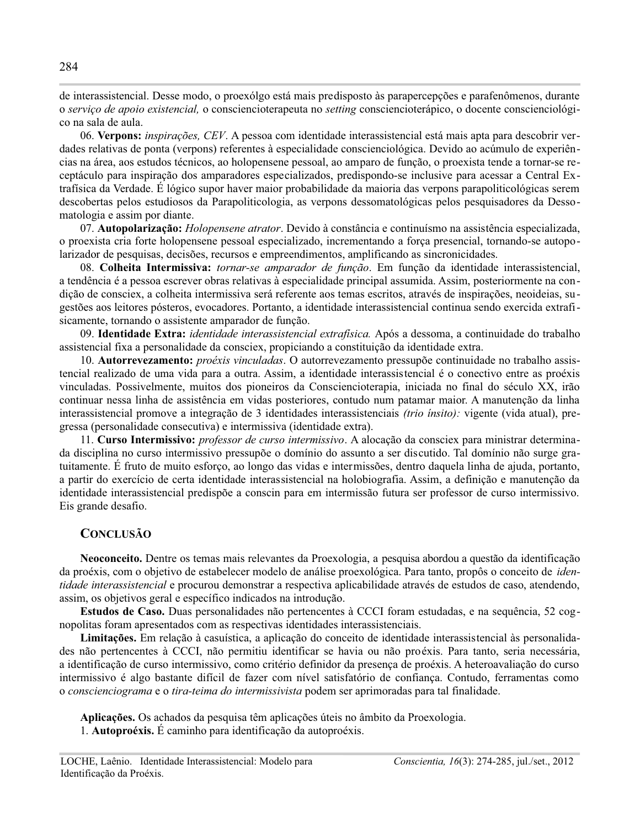de interassistencial. Desse modo, o proexólgo está mais predisposto às parapercepções e parafenômenos, durante o serviço de apoio existencial, o consciencioterapeuta no setting consciencioterápico, o docente conscienciológico na sala de aula.

06. Verpons: *inspirações*, CEV. A pessoa com identidade interassistencial está mais apta para descobrir verdades relativas de ponta (verpons) referentes à especialidade conscienciológica. Devido ao acúmulo de experiências na área, aos estudos técnicos, ao holopensene pessoal, ao amparo de função, o proexista tende a tornar-se receptáculo para inspiração dos amparadores especializados, predispondo-se inclusive para acessar a Central Extrafísica da Verdade. É lógico supor haver maior probabilidade da maioria das verpons parapoliticológicas serem descobertas pelos estudiosos da Parapoliticologia, as verpons dessomatológicas pelos pesquisadores da Dessomatologia e assim por diante.

07. Autopolarização: Holopensene atrator. Devido à constância e continuísmo na assistência especializada, o proexista cria forte holopensene pessoal especializado, incrementando a força presencial, tornando-se autopolarizador de pesquisas, decisões, recursos e empreendimentos, amplificando as sincronicidades.

08. Colheita Intermissiva: tornar-se amparador de função. Em função da identidade interassistencial, a tendência é a pessoa escrever obras relativas à especialidade principal assumida. Assim, posteriormente na condição de consciex, a colheita intermissiva será referente aos temas escritos, através de inspirações, neoideias, sugestões aos leitores pósteros, evocadores. Portanto, a identidade interassistencial continua sendo exercida extrafisicamente, tornando o assistente amparador de função.

09. Identidade Extra: identidade interassistencial extrafísica. Após a dessoma, a continuidade do trabalho assistencial fixa a personalidade da consciex, propiciando a constituição da identidade extra.

10. Autorrevezamento: proéxis vinculadas. O autorrevezamento pressupõe continuidade no trabalho assistencial realizado de uma vida para a outra. Assim, a identidade interassistencial é o conectivo entre as proéxis vinculadas. Possivelmente, muitos dos pioneiros da Consciencioterapia, iniciada no final do século XX, irão continuar nessa linha de assistência em vidas posteriores, contudo num patamar maior. A manutenção da linha interassistencial promove a integração de 3 identidades interassistenciais *(trio insito)*: vigente (vida atual), pregressa (personalidade consecutiva) e intermissiva (identidade extra).

11. Curso Intermissivo: professor de curso intermissivo. A alocação da consciex para ministrar determinada disciplina no curso intermissivo pressupõe o domínio do assunto a ser discutido. Tal domínio não surge gratuitamente. É fruto de muito esforço, ao longo das vidas e intermissões, dentro daquela linha de ajuda, portanto, a partir do exercício de certa identidade interassistencial na holobiografia. Assim, a definição e manutenção da identidade interassistencial predispõe a conscin para em intermissão futura ser professor de curso intermissivo. Eis grande desafio.

# **CONCLUSÃO**

Neoconceito. Dentre os temas mais relevantes da Proexologia, a pesquisa abordou a questão da identificação da proéxis, com o objetivo de estabelecer modelo de análise proexológica. Para tanto, propôs o conceito de *iden*tidade interassistencial e procurou demonstrar a respectiva aplicabilidade através de estudos de caso, atendendo, assim, os objetivos geral e específico indicados na introdução.

Estudos de Caso. Duas personalidades não pertencentes à CCCI foram estudadas, e na sequência, 52 cognopolitas foram apresentados com as respectivas identidades interassistenciais.

Limitações. Em relação à casuística, a aplicação do conceito de identidade interassistencial às personalidades não pertencentes à CCCI, não permitiu identificar se havia ou não proéxis. Para tanto, seria necessária, a identificação de curso intermissivo, como critério definidor da presenca de proéxis. A heteroavaliação do curso intermissivo é algo bastante difícil de fazer com nível satisfatório de confiança. Contudo, ferramentas como o conscienciograma e o tira-teima do intermissivista podem ser aprimoradas para tal finalidade.

Aplicações. Os achados da pesquisa têm aplicações úteis no âmbito da Proexologia.

1. Autoproéxis. É caminho para identificação da autoproéxis.